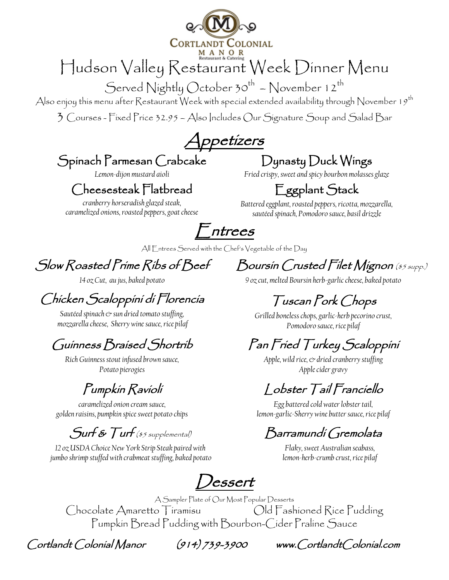

# Hudson Valley Restaurant Week Dinner Menu

Served Nightly October 30<sup>th</sup> - November 12<sup>th</sup>

Also enjoy this menu after Restaurant Week with special extended availability through November 19th

3 Courses - Fixed Price 32.95 – Also Includes Our Signature Soup and Salad Bar

Appetizers

#### Spinach Parmesan Crabcake

*Lemon-dijon mustard aioli*

#### Cheesesteak Flatbread

*cranberry horseradish glazed steak, caramelized onions, roasted peppers, goat cheese*

## Dynasty Duck Wings

*Fried crispy, sweet and spicy bourbon molasses glaze* 

## Eggplant Stack

*Battered eggplant, roasted peppers, ricotta, mozzarella, sautéed spinach, Pomodoro sauce, basil drizzle*

 $<sup>-</sup>ntrees$ </sup>

All Entrees Served with the Chef's Vegetable of the Day

#### Slow Roasted Prime Ribs of Beef

*14 oz Cut, au jus, baked potato*

## Chicken Scaloppini di Florencia

*Sautéed spinach & sun dried tomato stuffing, mozzarella cheese, Sherry wine sauce, rice pilaf* 

#### Guinness Braised Shortrib

*Rich Guinness stout infused brown sauce, Potato pierogies*

#### Pumpkin Ravioli

*caramelized onion cream sauce, golden raisins, pumpkin spice sweet potato chips* 

#### $\mathcal S$ urf &  $\mathcal T$ urf (\$5 supplemental)

*12 oz USDA Choice New York Strip Steak paired with jumbo shrimp stuffed with crabmeat stuffing, baked potato* Boursin Crusted Filet Mignon (\$5 supp.) *9 oz cut, melted Boursin herb-garlic cheese, baked potato*

Tuscan Pork Chops

*Grilled boneless chops, garlic-herb pecorino crust, Pomodoro sauce, rice pilaf*

## Pan Fried Turkey Scaloppini

*Apple, wild rice, & dried cranberry stuffing Apple cider gravy*

#### Lobster Tail Franciello

*Egg battered cold waterlobster tail, lemon-garlic-Sherry wine butter sauce, rice pilaf*

#### Barramundi Gremolata

*Flaky, sweet Australian seabass, lemon-herb-crumb crust,rice pilaf*

Dessert

A Sampler Plate of Our Most Popular Desserts Chocolate Amaretto Tiramisu Old Fashioned Rice Pudding Pumpkin Bread Pudding with Bourbon-Cider Praline Sauce

Cortlandt Colonial Manor (914) 739-3900 www.CortlandtColonial.com